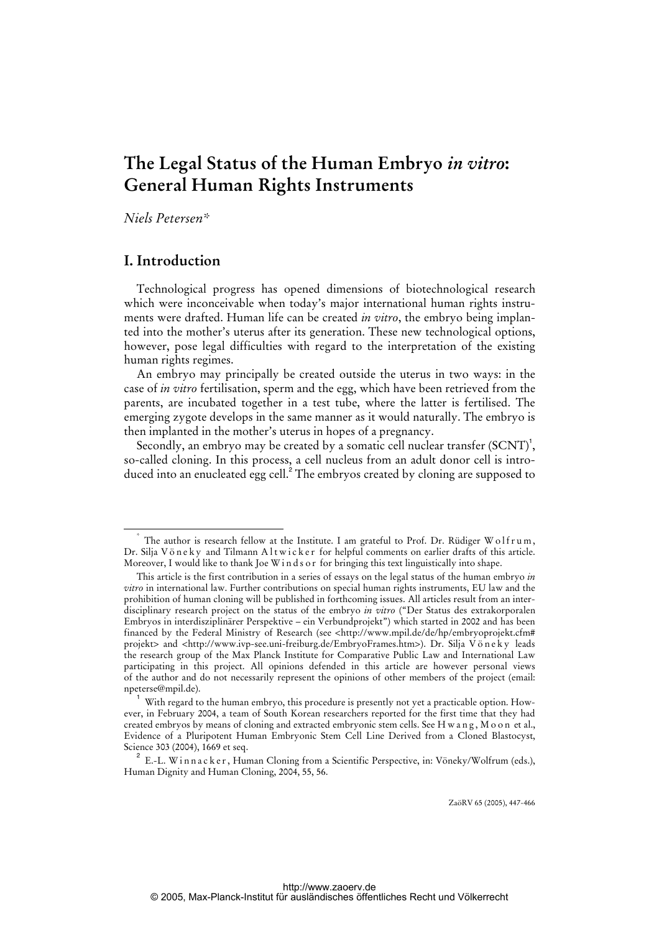# **The Legal Status of the Human Embryo** *in vitro***: General Human Rights Instruments**

*Niels Petersen\** 

# **I. Introduction**

Technological progress has opened dimensions of biotechnological research which were inconceivable when today's major international human rights instruments were drafted. Human life can be created *in vitro*, the embryo being implanted into the mother's uterus after its generation. These new technological options, however, pose legal difficulties with regard to the interpretation of the existing human rights regimes.

An embryo may principally be created outside the uterus in two ways: in the case of *in vitro* fertilisation, sperm and the egg, which have been retrieved from the parents, are incubated together in a test tube, where the latter is fertilised. The emerging zygote develops in the same manner as it would naturally. The embryo is then implanted in the mother's uterus in hopes of a pregnancy.

Secondly, an embryo may be created by a somatic cell nuclear transfer  ${\rm (SCNT)}^1$ , so-called cloning. In this process, a cell nucleus from an adult donor cell is introduced into an enucleated egg cell.<sup>2</sup> The embryos created by cloning are supposed to

ZaöRV 65 (2005), 447-466

 <sup>\*</sup> The author is research fellow at the Institute. I am grateful to Prof. Dr. Rüdiger W o lfrum, Dr. Silja Vöneky and Tilmann Altwicker for helpful comments on earlier drafts of this article. Moreover, I would like to thank Joe W inds or for bringing this text linguistically into shape.

This article is the first contribution in a series of essays on the legal status of the human embryo *in vitro* in international law. Further contributions on special human rights instruments, EU law and the prohibition of human cloning will be published in forthcoming issues. All articles result from an interdisciplinary research project on the status of the embryo *in vitro* ("Der Status des extrakorporalen Embryos in interdisziplinärer Perspektive – ein Verbundprojekt") which started in 2002 and has been financed by the Federal Ministry of Research (see <<http://www.mpil.de/de/hp/embryoprojekt.cfm#> projekt> and <<http://www.ivp-see.uni-freiburg.de/EmbryoFrames.htm>>). Dr. Silja V ö n e k y leads the research group of the Max Planck Institute for Comparative Public Law and International Law participating in this project. All opinions defended in this article are however personal views of the author and do not necessarily represent the opinions of other members of the project (email: npeterse@mpil.de).

 $^{\rm 1}$  With regard to the human embryo, this procedure is presently not yet a practicable option. However, in February 2004, a team of South Korean researchers reported for the first time that they had created embryos by means of cloning and extracted embryonic stem cells. See H w a n g , M o o n et al., Evidence of a Pluripotent Human Embryonic Stem Cell Line Derived from a Cloned Blastocyst, Science 303 (2004), 1669 et seq.

 $2^{2}$  E.-L. Winnacker, Human Cloning from a Scientific Perspective, in: Vöneky/Wolfrum (eds.), Human Dignity and Human Cloning, 2004, 55, 56.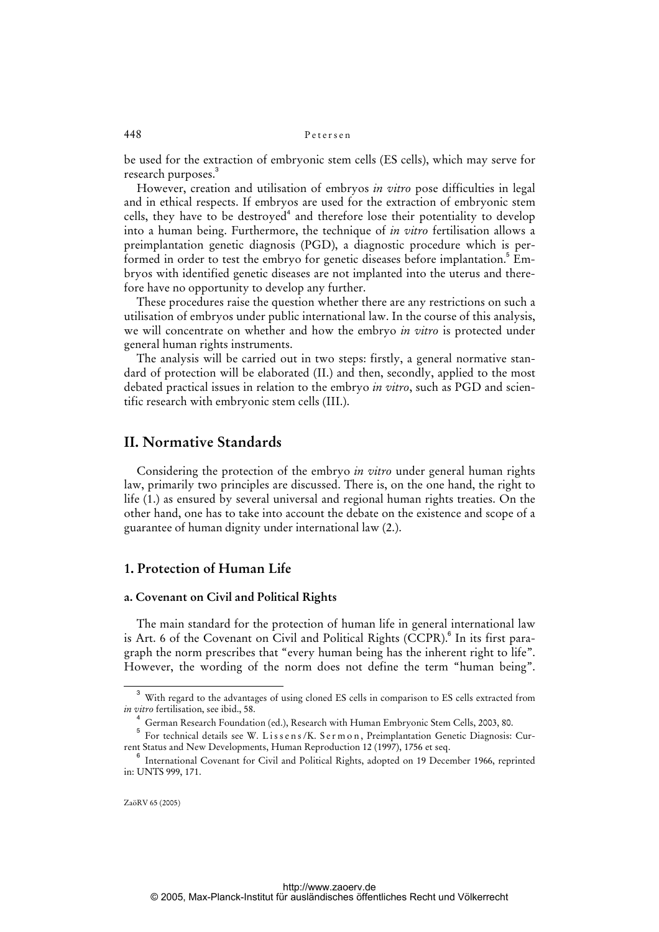be used for the extraction of embryonic stem cells (ES cells), which may serve for research purposes.<sup>3</sup>

However, creation and utilisation of embryos *in vitro* pose difficulties in legal and in ethical respects. If embryos are used for the extraction of embryonic stem cells, they have to be destroyed<sup>4</sup> and therefore lose their potentiality to develop into a human being. Furthermore, the technique of *in vitro* fertilisation allows a preimplantation genetic diagnosis (PGD), a diagnostic procedure which is performed in order to test the embryo for genetic diseases before implantation.<sup>5</sup> Embryos with identified genetic diseases are not implanted into the uterus and therefore have no opportunity to develop any further.

These procedures raise the question whether there are any restrictions on such a utilisation of embryos under public international law. In the course of this analysis, we will concentrate on whether and how the embryo *in vitro* is protected under general human rights instruments.

The analysis will be carried out in two steps: firstly, a general normative standard of protection will be elaborated (II.) and then, secondly, applied to the most debated practical issues in relation to the embryo *in vitro*, such as PGD and scientific research with embryonic stem cells (III.).

# **II. Normative Standards**

Considering the protection of the embryo *in vitro* under general human rights law, primarily two principles are discussed. There is, on the one hand, the right to life (1.) as ensured by several universal and regional human rights treaties. On the other hand, one has to take into account the debate on the existence and scope of a guarantee of human dignity under international law (2.).

# **1. Protection of Human Life**

## **a. Covenant on Civil and Political Rights**

The main standard for the protection of human life in general international law is Art. 6 of the Covenant on Civil and Political Rights (CCPR).<sup>6</sup> In its first paragraph the norm prescribes that "every human being has the inherent right to life". However, the wording of the norm does not define the term "human being".

<sup>3</sup> With regard to the advantages of using cloned ES cells in comparison to ES cells extracted from *in vitro* fertilisation, see ibid., 58.

<sup>4</sup> German Research Foundation (ed.), Research with Human Embryonic Stem Cells, 2003, 80.

<sup>5</sup> For technical details see W. Lissens/K. Sermon, Preimplantation Genetic Diagnosis: Current Status and New Developments, Human Reproduction 12 (1997), 1756 et seq.

<sup>&</sup>lt;sup>6</sup> International Covenant for Civil and Political Rights, adopted on 19 December 1966, reprinted in: UNTS 999, 171.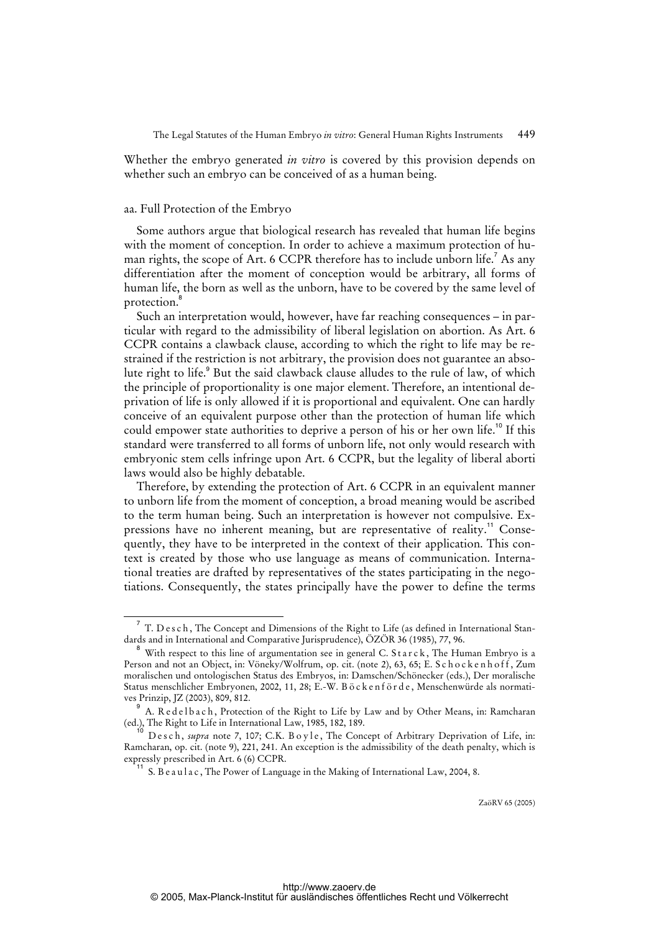Whether the embryo generated *in vitro* is covered by this provision depends on whether such an embryo can be conceived of as a human being.

#### aa. Full Protection of the Embryo

Some authors argue that biological research has revealed that human life begins with the moment of conception. In order to achieve a maximum protection of human rights, the scope of Art. 6 CCPR therefore has to include unborn life.<sup>7</sup> As any differentiation after the moment of conception would be arbitrary, all forms of human life, the born as well as the unborn, have to be covered by the same level of protection.<sup>8</sup>

Such an interpretation would, however, have far reaching consequences – in particular with regard to the admissibility of liberal legislation on abortion. As Art. 6 CCPR contains a clawback clause, according to which the right to life may be restrained if the restriction is not arbitrary, the provision does not guarantee an absolute right to life.<sup>9</sup> But the said clawback clause alludes to the rule of law, of which the principle of proportionality is one major element. Therefore, an intentional deprivation of life is only allowed if it is proportional and equivalent. One can hardly conceive of an equivalent purpose other than the protection of human life which could empower state authorities to deprive a person of his or her own life.<sup>10</sup> If this standard were transferred to all forms of unborn life, not only would research with embryonic stem cells infringe upon Art. 6 CCPR, but the legality of liberal aborti laws would also be highly debatable.

Therefore, by extending the protection of Art. 6 CCPR in an equivalent manner to unborn life from the moment of conception, a broad meaning would be ascribed to the term human being. Such an interpretation is however not compulsive. Expressions have no inherent meaning, but are representative of reality.<sup>11</sup> Consequently, they have to be interpreted in the context of their application. This context is created by those who use language as means of communication. International treaties are drafted by representatives of the states participating in the negotiations. Consequently, the states principally have the power to define the terms

<sup>7</sup> T. D e s c h , The Concept and Dimensions of the Right to Life (as defined in International Standards and in International and Comparative Jurisprudence), ÖZÖR 36 (1985), 77, 96.

 $^8\,$  With respect to this line of argumentation see in general C. <code>Starck</code> , The Human Embryo is a Person and not an Object, in: Vöneky/Wolfrum, op. cit. (note 2), 63, 65; E. S c h o c k e n h o f f, Zum moralischen und ontologischen Status des Embryos, in: Damschen/Schönecker (eds.), Der moralische Status menschlicher Embryonen, 2002, 11, 28; E.-W. B ö c k e n f ö r d e , Menschenwürde als normatives Prinzip, JZ (2003), 809, 812.

<sup>&</sup>lt;sup>9</sup> A. Redelbach, Protection of the Right to Life by Law and by Other Means, in: Ramcharan (ed.), The Right to Life in International Law, 1985, 182, 189.

Desch, supra note 7, 107; C.K. Boyle, The Concept of Arbitrary Deprivation of Life, in: Ramcharan, op. cit. (note 9), 221, 241. An exception is the admissibility of the death penalty, which is expressly prescribed in Art. 6 (6) CCPR.

<sup>&</sup>lt;sup>11</sup> S. B e a u l a c, The Power of Language in the Making of International Law, 2004, 8.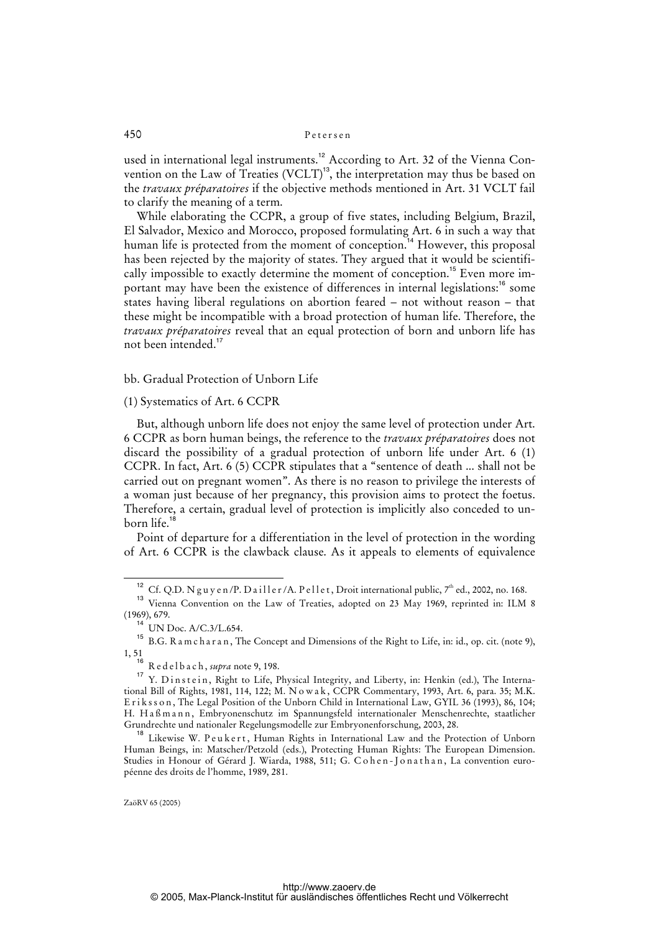used in international legal instruments.<sup>12</sup> According to Art. 32 of the Vienna Convention on the Law of Treaties (VCLT)<sup>13</sup>, the interpretation may thus be based on the *travaux préparatoires* if the objective methods mentioned in Art. 31 VCLT fail to clarify the meaning of a term.

While elaborating the CCPR, a group of five states, including Belgium, Brazil, El Salvador, Mexico and Morocco, proposed formulating Art. 6 in such a way that human life is protected from the moment of conception.<sup>14</sup> However, this proposal has been rejected by the majority of states. They argued that it would be scientifically impossible to exactly determine the moment of conception.<sup>15</sup> Even more important may have been the existence of differences in internal legislations:<sup>16</sup> some states having liberal regulations on abortion feared – not without reason – that these might be incompatible with a broad protection of human life. Therefore, the *travaux préparatoires* reveal that an equal protection of born and unborn life has not been intended.<sup>17</sup>

#### bb. Gradual Protection of Unborn Life

#### (1) Systematics of Art. 6 CCPR

But, although unborn life does not enjoy the same level of protection under Art. 6 CCPR as born human beings, the reference to the *travaux préparatoires* does not discard the possibility of a gradual protection of unborn life under Art. 6 (1) CCPR. In fact, Art. 6 (5) CCPR stipulates that a "sentence of death ... shall not be carried out on pregnant women". As there is no reason to privilege the interests of a woman just because of her pregnancy, this provision aims to protect the foetus. Therefore, a certain, gradual level of protection is implicitly also conceded to unborn life.<sup>18</sup>

Point of departure for a differentiation in the level of protection in the wording of Art. 6 CCPR is the clawback clause. As it appeals to elements of equivalence

<sup>&</sup>lt;sup>12</sup> Cf. Q.D. N g u y e n /P. D a ill e r /A. P e ll e t, Droit international public, 7<sup>th</sup> ed., 2002, no. 168.

<sup>&</sup>lt;sup>13</sup> Vienna Convention on the Law of Treaties, adopted on 23 May 1969, reprinted in: ILM 8 (1969), 679.

 $14$  UN Doc. A/C.3/L.654.

<sup>15</sup> B.G. R a m c h a r a n , The Concept and Dimensions of the Right to Life, in: id., op. cit. (note 9),  $1, 51$ <sub>16</sub>

<sup>16</sup> R e d e l b a c h , *supra* note 9, 198.

<sup>&</sup>lt;sup>17</sup> Y. Dinstein, Right to Life, Physical Integrity, and Liberty, in: Henkin (ed.), The International Bill of Rights, 1981, 114, 122; M. N o w a k , CCPR Commentary, 1993, Art. 6, para. 35; M.K. Eriksson, The Legal Position of the Unborn Child in International Law, GYIL 36 (1993), 86, 104; H. Haßmann, Embryonenschutz im Spannungsfeld internationaler Menschenrechte, staatlicher Grundrechte und nationaler Regelungsmodelle zur Embryonenforschung, 2003, 28.

<sup>&</sup>lt;sup>18</sup> Likewise W. Peukert, Human Rights in International Law and the Protection of Unborn Human Beings, in: Matscher/Petzold (eds.), Protecting Human Rights: The European Dimension. Studies in Honour of Gérard J. Wiarda, 1988, 511; G. Cohen-Jonathan, La convention européenne des droits de l'homme, 1989, 281.

ZaöRV 65 (2005)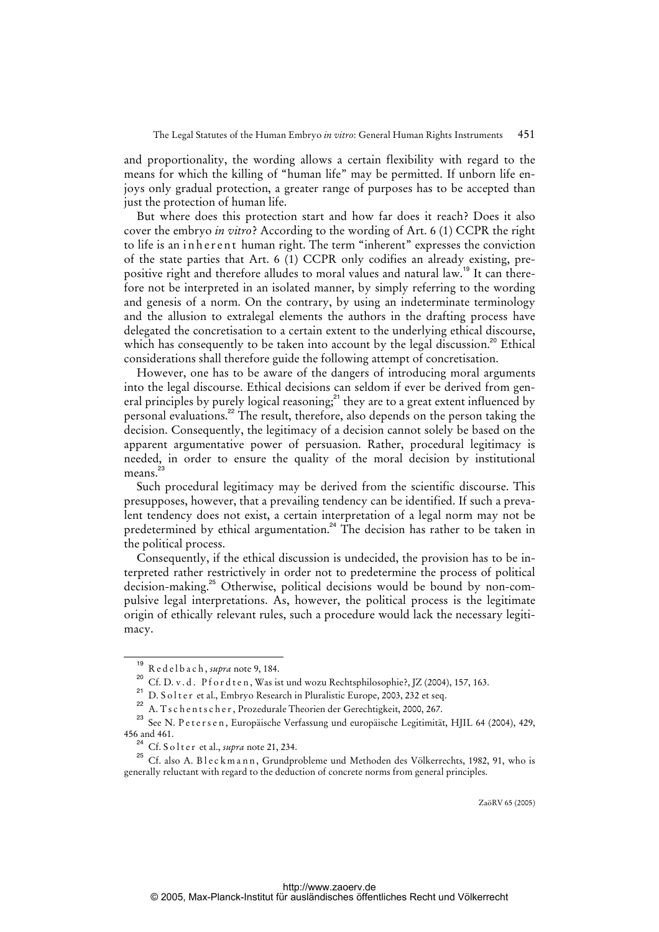and proportionality, the wording allows a certain flexibility with regard to the means for which the killing of "human life" may be permitted. If unborn life enjoys only gradual protection, a greater range of purposes has to be accepted than just the protection of human life.

But where does this protection start and how far does it reach? Does it also cover the embryo *in vitro*? According to the wording of Art. 6 (1) CCPR the right to life is an inherent human right. The term "inherent" expresses the conviction of the state parties that Art. 6 (1) CCPR only codifies an already existing, prepositive right and therefore alludes to moral values and natural law.<sup>19</sup> It can therefore not be interpreted in an isolated manner, by simply referring to the wording and genesis of a norm. On the contrary, by using an indeterminate terminology and the allusion to extralegal elements the authors in the drafting process have delegated the concretisation to a certain extent to the underlying ethical discourse, which has consequently to be taken into account by the legal discussion.<sup>20</sup> Ethical considerations shall therefore guide the following attempt of concretisation.

However, one has to be aware of the dangers of introducing moral arguments into the legal discourse. Ethical decisions can seldom if ever be derived from general principles by purely logical reasoning; $^{21}$  they are to a great extent influenced by personal evaluations.<sup>22</sup> The result, therefore, also depends on the person taking the decision. Consequently, the legitimacy of a decision cannot solely be based on the apparent argumentative power of persuasion. Rather, procedural legitimacy is needed, in order to ensure the quality of the moral decision by institutional means.<sup>23</sup>

Such procedural legitimacy may be derived from the scientific discourse. This presupposes, however, that a prevailing tendency can be identified. If such a prevalent tendency does not exist, a certain interpretation of a legal norm may not be predetermined by ethical argumentation.<sup>24</sup> The decision has rather to be taken in the political process.

Consequently, if the ethical discussion is undecided, the provision has to be interpreted rather restrictively in order not to predetermine the process of political decision-making.<sup>25</sup> Otherwise, political decisions would be bound by non-compulsive legal interpretations. As, however, the political process is the legitimate origin of ethically relevant rules, such a procedure would lack the necessary legitimacy.

<sup>19</sup> R e d e l b a c h , *supra* note 9, 184.

<sup>20</sup> Cf. D. v. d. P f o r d t e n, Was ist und wozu Rechtsphilosophie?, JZ (2004), 157, 163.

<sup>&</sup>lt;sup>21</sup> D. S o l t e r et al., Embryo Research in Pluralistic Europe, 2003, 232 et seq.

<sup>&</sup>lt;sup>22</sup> A. T s c h e n t s c h e r , Prozedurale Theorien der Gerechtigkeit, 2000, 267.

<sup>23</sup> See N. P et er s e n, Europäische Verfassung und europäische Legitimität, HJIL 64 (2004), 429, 456 and 461.

Cf. S o l t e r et al., *supra* note 21, 234.

<sup>&</sup>lt;sup>25</sup> Cf. also A. B l e c k m a n n, Grundprobleme und Methoden des Völkerrechts, 1982, 91, who is generally reluctant with regard to the deduction of concrete norms from general principles.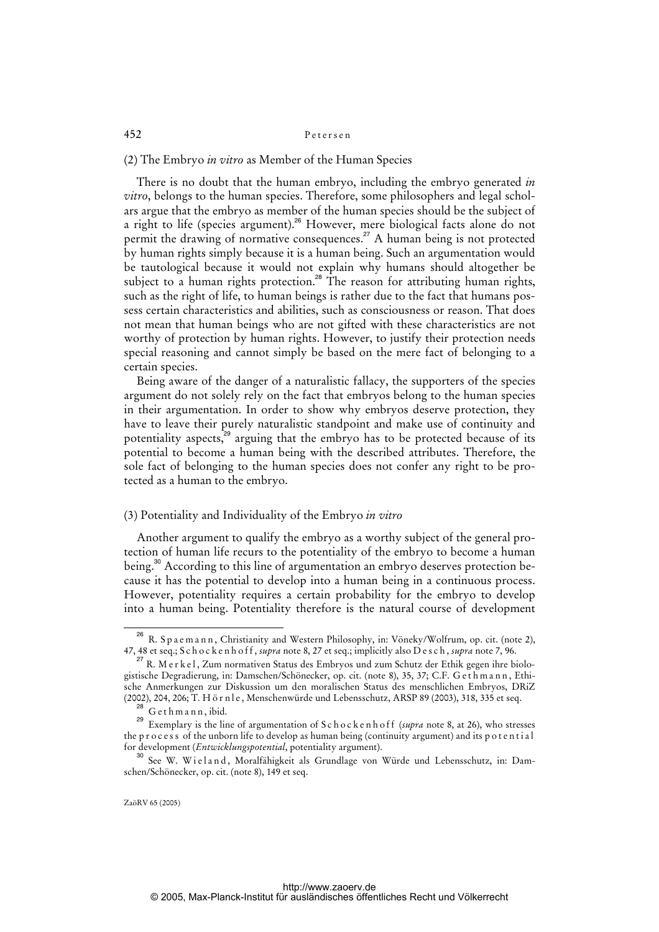(2) The Embryo *in vitro* as Member of the Human Species

There is no doubt that the human embryo, including the embryo generated *in vitro*, belongs to the human species. Therefore, some philosophers and legal scholars argue that the embryo as member of the human species should be the subject of a right to life (species argument).<sup>26</sup> However, mere biological facts alone do not permit the drawing of normative consequences.<sup>27</sup> A human being is not protected by human rights simply because it is a human being. Such an argumentation would be tautological because it would not explain why humans should altogether be subject to a human rights protection.<sup>28</sup> The reason for attributing human rights, such as the right of life, to human beings is rather due to the fact that humans possess certain characteristics and abilities, such as consciousness or reason. That does not mean that human beings who are not gifted with these characteristics are not worthy of protection by human rights. However, to justify their protection needs special reasoning and cannot simply be based on the mere fact of belonging to a certain species.

Being aware of the danger of a naturalistic fallacy, the supporters of the species argument do not solely rely on the fact that embryos belong to the human species in their argumentation. In order to show why embryos deserve protection, they have to leave their purely naturalistic standpoint and make use of continuity and potentiality aspects,<sup>29</sup> arguing that the embryo has to be protected because of its potential to become a human being with the described attributes. Therefore, the sole fact of belonging to the human species does not confer any right to be protected as a human to the embryo.

## (3) Potentiality and Individuality of the Embryo *in vitro*

Another argument to qualify the embryo as a worthy subject of the general protection of human life recurs to the potentiality of the embryo to become a human being.<sup>30</sup> According to this line of argumentation an embryo deserves protection because it has the potential to develop into a human being in a continuous process. However, potentiality requires a certain probability for the embryo to develop into a human being. Potentiality therefore is the natural course of development

<sup>&</sup>lt;sup>26</sup> R. Spaemann, Christianity and Western Philosophy, in: Vöneky/Wolfrum, op. cit. (note 2), 47, 48 et seq.; S c h o c k e n h o f f , *supra* note 8, 27 et seq.; implicitly also D e s c h , *supra* note 7, 96.

<sup>&</sup>lt;sup>27</sup> R. M er k e l, Zum normativen Status des Embryos und zum Schutz der Ethik gegen ihre biologistische Degradierung, in: Damschen/Schönecker, op. cit. (note 8), 35, 37; C.F. G e t h m a n n , Ethische Anmerkungen zur Diskussion um den moralischen Status des menschlichen Embryos, DRiZ (2002), 204, 206; T. H ö r n l e , Menschenwürde und Lebensschutz, ARSP 89 (2003), 318, 335 et seq.

 $^{\circ}$  G e th m a n n , ibid.

<sup>&</sup>lt;sup>29</sup> Exemplary is the line of argumentation of S c h o c k e n h o f f (*supra* note 8, at 26), who stresses the p r o c e s s of the unborn life to develop as human being (continuity argument) and its p o t e n t i a l for development (*Entwicklungspotential*, potentiality argument).

<sup>&</sup>lt;sup>30</sup> See W. Wieland, Moralfähigkeit als Grundlage von Würde und Lebensschutz, in: Damschen/Schönecker, op. cit. (note 8), 149 et seq.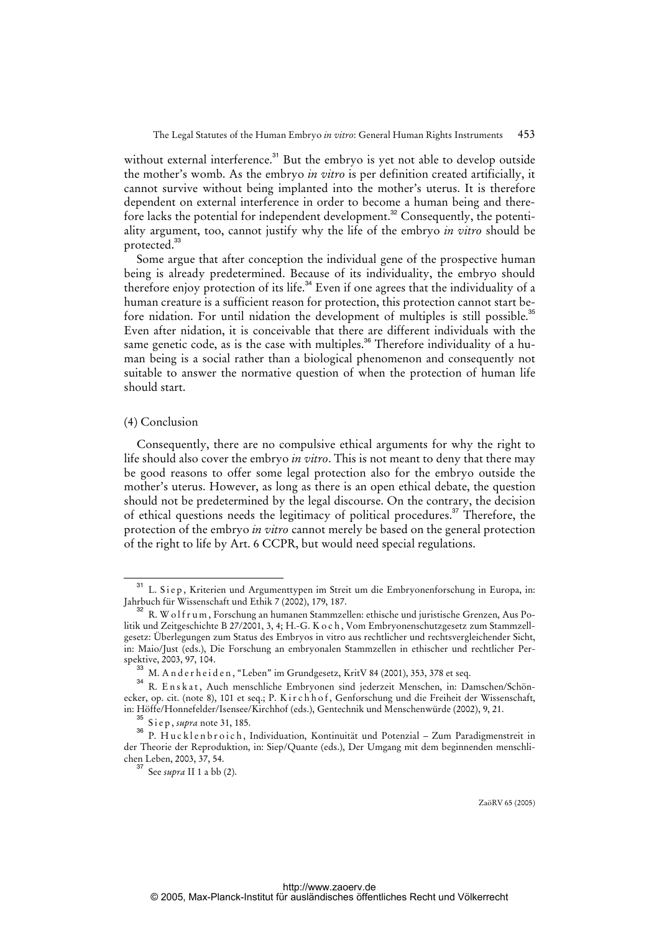without external interference.<sup>31</sup> But the embryo is yet not able to develop outside the mother's womb. As the embryo *in vitro* is per definition created artificially, it cannot survive without being implanted into the mother's uterus. It is therefore dependent on external interference in order to become a human being and therefore lacks the potential for independent development.<sup>32</sup> Consequently, the potentiality argument, too, cannot justify why the life of the embryo *in vitro* should be protected.<sup>33</sup>

Some argue that after conception the individual gene of the prospective human being is already predetermined. Because of its individuality, the embryo should therefore enjoy protection of its life.<sup>34</sup> Even if one agrees that the individuality of a human creature is a sufficient reason for protection, this protection cannot start before nidation. For until nidation the development of multiples is still possible.<sup>35</sup> Even after nidation, it is conceivable that there are different individuals with the same genetic code, as is the case with multiples.<sup>36</sup> Therefore individuality of a human being is a social rather than a biological phenomenon and consequently not suitable to answer the normative question of when the protection of human life should start.

#### (4) Conclusion

Consequently, there are no compulsive ethical arguments for why the right to life should also cover the embryo *in vitro*. This is not meant to deny that there may be good reasons to offer some legal protection also for the embryo outside the mother's uterus. However, as long as there is an open ethical debate, the question should not be predetermined by the legal discourse. On the contrary, the decision of ethical questions needs the legitimacy of political procedures.<sup>37</sup> Therefore, the protection of the embryo *in vitro* cannot merely be based on the general protection of the right to life by Art. 6 CCPR, but would need special regulations.

<sup>&</sup>lt;sup>31</sup> L. Siep, Kriterien und Argumenttypen im Streit um die Embryonenforschung in Europa, in: Jahrbuch für Wissenschaft und Ethik 7 (2002), 179, 187.

 $^{32}$  R. W o l f r u m , Forschung an humanen Stammzellen: ethische und juristische Grenzen, Aus Politik und Zeitgeschichte B 27/2001, 3, 4; H.-G. K o c h, Vom Embryonenschutzgesetz zum Stammzellgesetz: Überlegungen zum Status des Embryos in vitro aus rechtlicher und rechtsvergleichender Sicht, in: Maio/Just (eds.), Die Forschung an embryonalen Stammzellen in ethischer und rechtlicher Perspektive, 2003, 97, 104.

M. A n d e r h e i d e n, "Leben" im Grundgesetz, KritV 84 (2001), 353, 378 et seq.

<sup>&</sup>lt;sup>34</sup> R. Enskat, Auch menschliche Embryonen sind jederzeit Menschen, in: Damschen/Schönecker, op. cit. (note 8), 101 et seq.; P. Kirchhof, Genforschung und die Freiheit der Wissenschaft, in: Höffe/Honnefelder/Isensee/Kirchhof (eds.), Gentechnik und Menschenwürde (2002), 9, 21.

<sup>35</sup> S i e p , *supra* note 31, 185.

<sup>36</sup> P. Hu c k l e n b r o i c h, Individuation, Kontinuität und Potenzial – Zum Paradigmenstreit in der Theorie der Reproduktion, in: Siep/Quante (eds.), Der Umgang mit dem beginnenden menschlichen Leben, 2003, 37, 54.

<sup>37</sup> See *supra* II 1 a bb (2).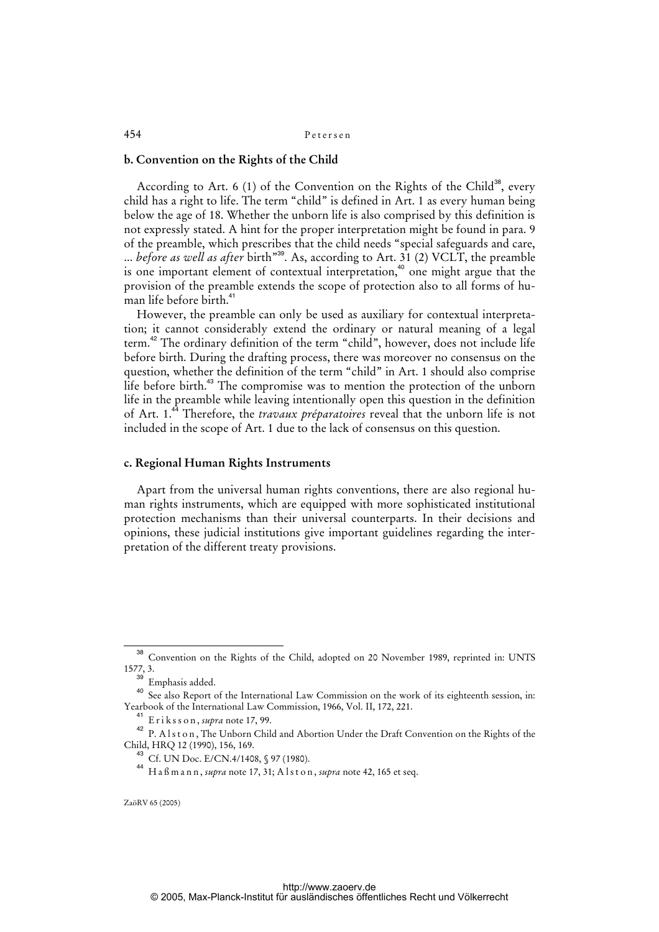## **b. Convention on the Rights of the Child**

According to Art. 6 (1) of the Convention on the Rights of the Child<sup>38</sup>, every child has a right to life. The term "child" is defined in Art. 1 as every human being below the age of 18. Whether the unborn life is also comprised by this definition is not expressly stated. A hint for the proper interpretation might be found in para. 9 of the preamble, which prescribes that the child needs "special safeguards and care, ... *before as well as after* birth"<sup>39</sup>. As, according to Art. 31 (2) VCLT, the preamble is one important element of contextual interpretation,<sup>40</sup> one might argue that the provision of the preamble extends the scope of protection also to all forms of human life before birth.<sup>4</sup>

However, the preamble can only be used as auxiliary for contextual interpretation; it cannot considerably extend the ordinary or natural meaning of a legal term.<sup>42</sup> The ordinary definition of the term "child", however, does not include life before birth. During the drafting process, there was moreover no consensus on the question, whether the definition of the term "child" in Art. 1 should also comprise life before birth.<sup>43</sup> The compromise was to mention the protection of the unborn life in the preamble while leaving intentionally open this question in the definition of Art. 1.<sup>44</sup> Therefore, the *travaux préparatoires* reveal that the unborn life is not included in the scope of Art. 1 due to the lack of consensus on this question.

## **c. Regional Human Rights Instruments**

Apart from the universal human rights conventions, there are also regional human rights instruments, which are equipped with more sophisticated institutional protection mechanisms than their universal counterparts. In their decisions and opinions, these judicial institutions give important guidelines regarding the interpretation of the different treaty provisions.

<sup>38</sup> Convention on the Rights of the Child, adopted on 20 November 1989, reprinted in: UNTS 1577, 3.

<sup>&</sup>lt;sup>39</sup> Emphasis added.

<sup>&</sup>lt;sup>40</sup> See also Report of the International Law Commission on the work of its eighteenth session, in: Yearbook of the International Law Commission, 1966, Vol. II, 172, 221.

<sup>41</sup> E r i k s s o n , *supra* note 17, 99.

<sup>42</sup> P. Alston, The Unborn Child and Abortion Under the Draft Convention on the Rights of the Child, HRQ 12 (1990), 156, 169.

 $\int_{0}^{3}$  Cf. UN Doc. E/CN.4/1408, § 97 (1980).

<sup>44</sup> H a ß m a n n , *supra* note 17, 31; A l s t o n , *supra* note 42, 165 et seq.

ZaöRV 65 (2005)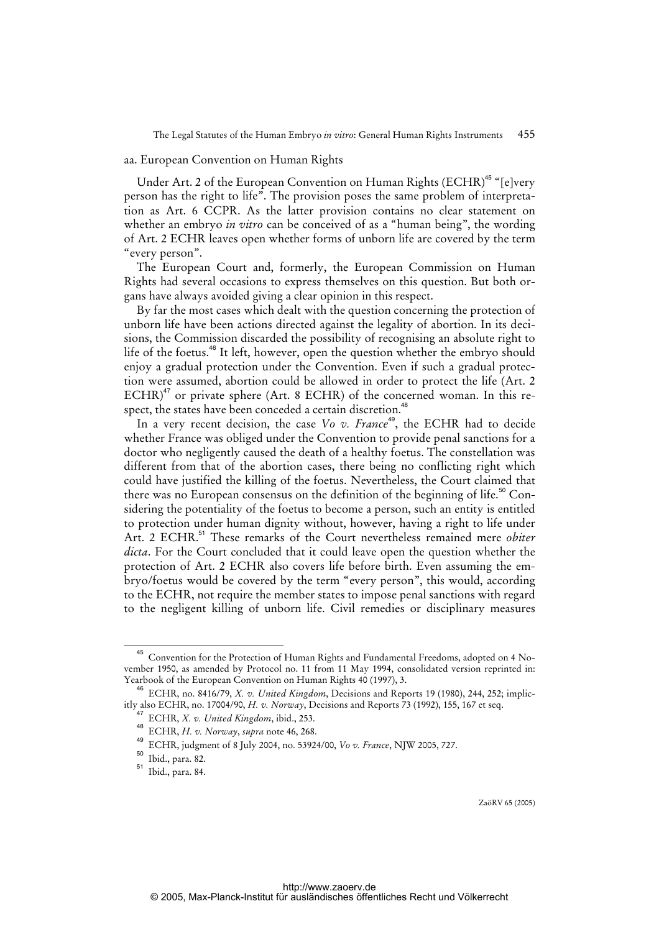#### aa. European Convention on Human Rights

Under Art. 2 of the European Convention on Human Rights (ECHR)<sup>45</sup> "[e]very person has the right to life". The provision poses the same problem of interpretation as Art. 6 CCPR. As the latter provision contains no clear statement on whether an embryo *in vitro* can be conceived of as a "human being", the wording of Art. 2 ECHR leaves open whether forms of unborn life are covered by the term "every person".

The European Court and, formerly, the European Commission on Human Rights had several occasions to express themselves on this question. But both organs have always avoided giving a clear opinion in this respect.

By far the most cases which dealt with the question concerning the protection of unborn life have been actions directed against the legality of abortion. In its decisions, the Commission discarded the possibility of recognising an absolute right to life of the foetus.<sup>46</sup> It left, however, open the question whether the embryo should enjoy a gradual protection under the Convention. Even if such a gradual protection were assumed, abortion could be allowed in order to protect the life (Art. 2  $ECHR$ <sup>47</sup> or private sphere (Art. 8 ECHR) of the concerned woman. In this respect, the states have been conceded a certain discretion.<sup>48</sup>

In a very recent decision, the case *Vo v. France*<sup>49</sup>, the ECHR had to decide whether France was obliged under the Convention to provide penal sanctions for a doctor who negligently caused the death of a healthy foetus. The constellation was different from that of the abortion cases, there being no conflicting right which could have justified the killing of the foetus. Nevertheless, the Court claimed that there was no European consensus on the definition of the beginning of life.<sup>50</sup> Considering the potentiality of the foetus to become a person, such an entity is entitled to protection under human dignity without, however, having a right to life under Art. 2 ECHR.<sup>51</sup> These remarks of the Court nevertheless remained mere *obiter dicta*. For the Court concluded that it could leave open the question whether the protection of Art. 2 ECHR also covers life before birth. Even assuming the embryo/foetus would be covered by the term "every person", this would, according to the ECHR, not require the member states to impose penal sanctions with regard to the negligent killing of unborn life. Civil remedies or disciplinary measures

<sup>45</sup> Convention for the Protection of Human Rights and Fundamental Freedoms, adopted on 4 November 1950, as amended by Protocol no. 11 from 11 May 1994, consolidated version reprinted in: Yearbook of the European Convention on Human Rights 40 (1997), 3.

<sup>46</sup> ECHR, no. 8416/79, *X. v. United Kingdom*, Decisions and Reports 19 (1980), 244, 252; implicitly also ECHR, no. 17004/90, *H. v. Norway*, Decisions and Reports 73 (1992), 155, 167 et seq.

<sup>47</sup> ECHR, *X. v. United Kingdom*, ibid., 253.

<sup>48</sup> ECHR, *H. v. Norway*, *supra* note 46, 268.

<sup>49</sup> ECHR, judgment of 8 July 2004, no. 53924/00, *Vo v. France*, NJW 2005, 727.

<sup>50</sup> Ibid., para. 82.

<sup>51</sup> Ibid., para. 84.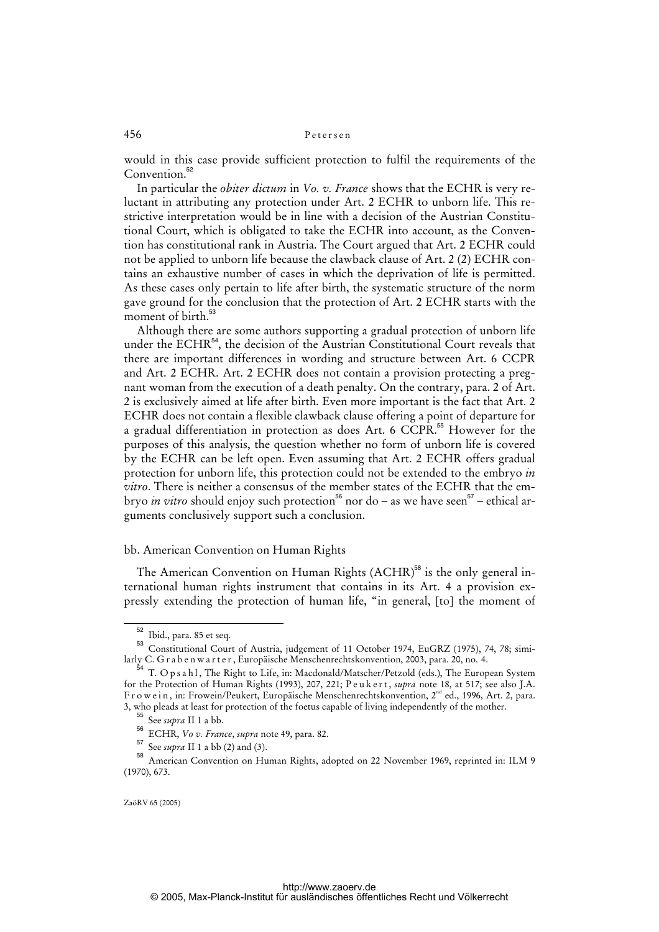would in this case provide sufficient protection to fulfil the requirements of the Convention.<sup>52</sup>

In particular the *obiter dictum* in *Vo. v. France* shows that the ECHR is very reluctant in attributing any protection under Art. 2 ECHR to unborn life. This restrictive interpretation would be in line with a decision of the Austrian Constitutional Court, which is obligated to take the ECHR into account, as the Convention has constitutional rank in Austria. The Court argued that Art. 2 ECHR could not be applied to unborn life because the clawback clause of Art. 2 (2) ECHR contains an exhaustive number of cases in which the deprivation of life is permitted. As these cases only pertain to life after birth, the systematic structure of the norm gave ground for the conclusion that the protection of Art. 2 ECHR starts with the moment of birth.<sup>53</sup>

Although there are some authors supporting a gradual protection of unborn life under the ECHR<sup>54</sup>, the decision of the Austrian Constitutional Court reveals that there are important differences in wording and structure between Art. 6 CCPR and Art. 2 ECHR. Art. 2 ECHR does not contain a provision protecting a pregnant woman from the execution of a death penalty. On the contrary, para. 2 of Art. 2 is exclusively aimed at life after birth. Even more important is the fact that Art. 2 ECHR does not contain a flexible clawback clause offering a point of departure for a gradual differentiation in protection as does Art. 6 CCPR.<sup>55</sup> However for the purposes of this analysis, the question whether no form of unborn life is covered by the ECHR can be left open. Even assuming that Art. 2 ECHR offers gradual protection for unborn life, this protection could not be extended to the embryo *in vitro*. There is neither a consensus of the member states of the ECHR that the embryo *in vitro* should enjoy such protection<sup>56</sup> nor do – as we have seen<sup>57</sup> – ethical arguments conclusively support such a conclusion.

## bb. American Convention on Human Rights

The American Convention on Human Rights (ACHR)<sup>58</sup> is the only general international human rights instrument that contains in its Art. 4 a provision expressly extending the protection of human life, "in general, [to] the moment of

<sup>52</sup> Ibid., para. 85 et seq.

<sup>53</sup> Constitutional Court of Austria, judgement of 11 October 1974, EuGRZ (1975), 74, 78; similarly C. G r a b e n w a r t e r, Europäische Menschenrechtskonvention, 2003, para. 20, no. 4.

 $\overline{1}$  T. O p s a h l , The Right to Life, in: Macdonald/Matscher/Petzold (eds.), The European System for the Protection of Human Rights (1993), 207, 221; P e u k e r t , *supra* note 18, at 517; see also J.A. F r o w e i n , in: Frowein/Peukert, Europäische Menschenrechtskonvention, 2<sup>nd</sup> ed., 1996, Art. 2, para. 3, who pleads at least for protection of the foetus capable of living independently of the mother.

<sup>55</sup> See *supra* II 1 a bb.

<sup>56</sup> ECHR, *Vo v. France*, *supra* note 49, para. 82.

<sup>57</sup> See *supra* II 1 a bb (2) and (3).

<sup>58</sup> American Convention on Human Rights, adopted on 22 November 1969, reprinted in: ILM 9 (1970), 673.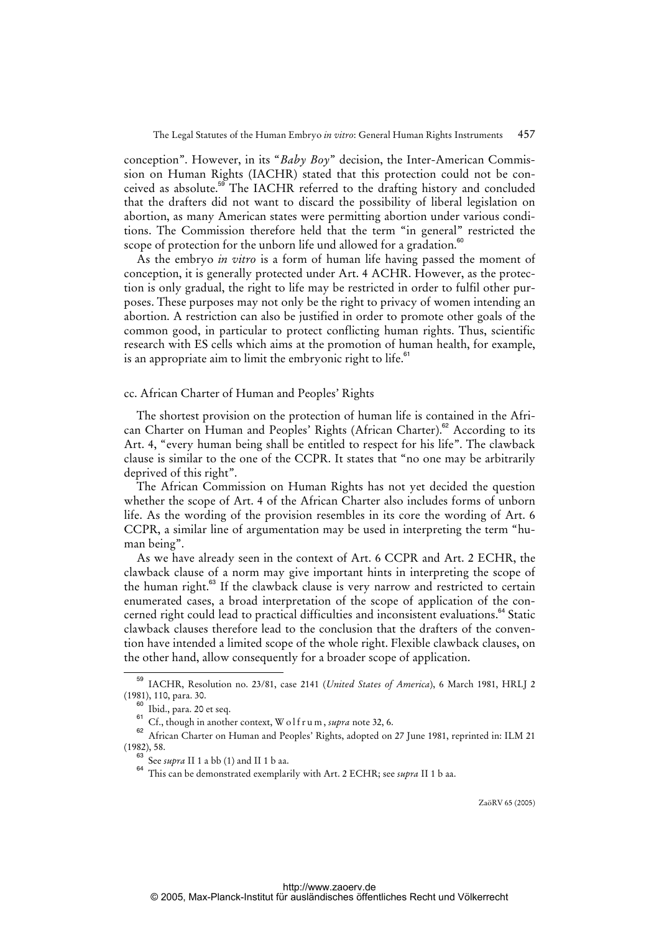conception". However, in its "*Baby Boy*" decision, the Inter-American Commission on Human Rights (IACHR) stated that this protection could not be conceived as absolute.<sup>59</sup> The IACHR referred to the drafting history and concluded that the drafters did not want to discard the possibility of liberal legislation on abortion, as many American states were permitting abortion under various conditions. The Commission therefore held that the term "in general" restricted the scope of protection for the unborn life und allowed for a gradation.<sup><sup>80</sup></sup>

As the embryo *in vitro* is a form of human life having passed the moment of conception, it is generally protected under Art. 4 ACHR. However, as the protection is only gradual, the right to life may be restricted in order to fulfil other purposes. These purposes may not only be the right to privacy of women intending an abortion. A restriction can also be justified in order to promote other goals of the common good, in particular to protect conflicting human rights. Thus, scientific research with ES cells which aims at the promotion of human health, for example, is an appropriate aim to limit the embryonic right to life. $61$ 

## cc. African Charter of Human and Peoples' Rights

The shortest provision on the protection of human life is contained in the African Charter on Human and Peoples' Rights (African Charter).<sup>62</sup> According to its Art. 4, "every human being shall be entitled to respect for his life". The clawback clause is similar to the one of the CCPR. It states that "no one may be arbitrarily deprived of this right".

The African Commission on Human Rights has not yet decided the question whether the scope of Art. 4 of the African Charter also includes forms of unborn life. As the wording of the provision resembles in its core the wording of Art. 6 CCPR, a similar line of argumentation may be used in interpreting the term "human being".

As we have already seen in the context of Art. 6 CCPR and Art. 2 ECHR, the clawback clause of a norm may give important hints in interpreting the scope of the human right.<sup>63</sup> If the clawback clause is very narrow and restricted to certain enumerated cases, a broad interpretation of the scope of application of the concerned right could lead to practical difficulties and inconsistent evaluations.<sup>64</sup> Static clawback clauses therefore lead to the conclusion that the drafters of the convention have intended a limited scope of the whole right. Flexible clawback clauses, on the other hand, allow consequently for a broader scope of application.

<sup>59</sup> IACHR, Resolution no. 23/81, case 2141 (*United States of America*), 6 March 1981, HRLJ 2 (1981), 110, para. 30.

<sup>60</sup> Ibid., para. 20 et seq.

<sup>&</sup>lt;sup>61</sup> Cf., though in another context, W o l f r u m, *supra* note 32, 6.

<sup>&</sup>lt;sup>62</sup> African Charter on Human and Peoples' Rights, adopted on 27 June 1981, reprinted in: ILM 21 (1982), 58.

 $\frac{3}{5}$  See *supra* II 1 a bb (1) and II 1 b aa.

<sup>&</sup>lt;sup>64</sup> This can be demonstrated exemplarily with Art. 2 ECHR; see *supra* II 1 b aa.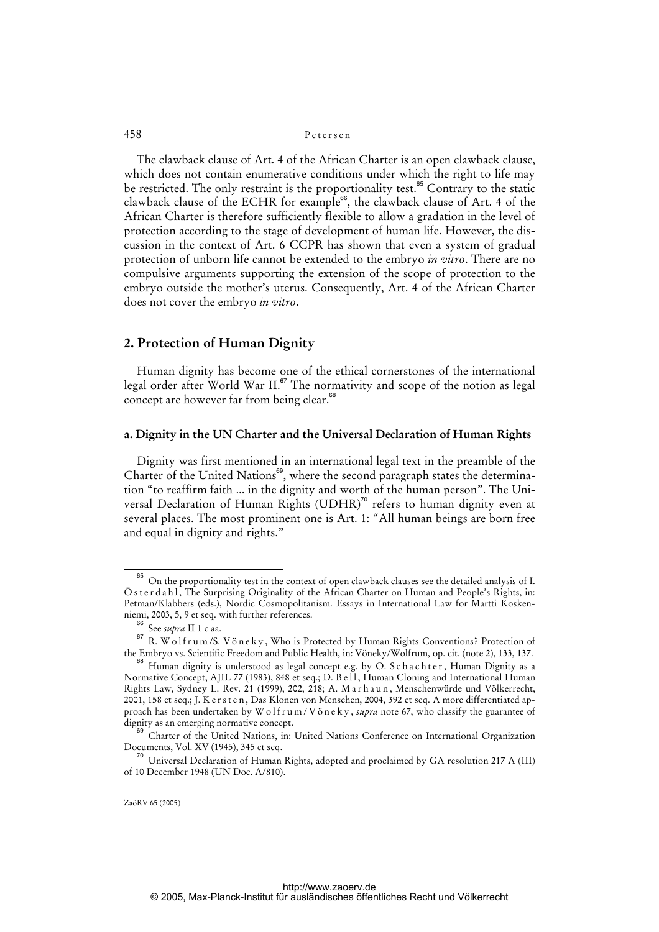The clawback clause of Art. 4 of the African Charter is an open clawback clause, which does not contain enumerative conditions under which the right to life may be restricted. The only restraint is the proportionality test.<sup>65</sup> Contrary to the static clawback clause of the ECHR for example<sup>66</sup>, the clawback clause of Art. 4 of the African Charter is therefore sufficiently flexible to allow a gradation in the level of protection according to the stage of development of human life. However, the discussion in the context of Art. 6 CCPR has shown that even a system of gradual protection of unborn life cannot be extended to the embryo *in vitro*. There are no compulsive arguments supporting the extension of the scope of protection to the embryo outside the mother's uterus. Consequently, Art. 4 of the African Charter does not cover the embryo *in vitro*.

## **2. Protection of Human Dignity**

Human dignity has become one of the ethical cornerstones of the international legal order after World War II.<sup>67</sup> The normativity and scope of the notion as legal concept are however far from being clear.<sup>68</sup>

## **a. Dignity in the UN Charter and the Universal Declaration of Human Rights**

Dignity was first mentioned in an international legal text in the preamble of the Charter of the United Nations<sup>69</sup>, where the second paragraph states the determination "to reaffirm faith ... in the dignity and worth of the human person". The Universal Declaration of Human Rights (UDHR)<sup>70</sup> refers to human dignity even at several places. The most prominent one is Art. 1: "All human beings are born free and equal in dignity and rights."

<sup>&</sup>lt;sup>65</sup> On the proportionality test in the context of open clawback clauses see the detailed analysis of I. Ö s t e r d a h l , The Surprising Originality of the African Charter on Human and People's Rights, in: Petman/Klabbers (eds.), Nordic Cosmopolitanism. Essays in International Law for Martti Koskenniemi, 2003, 5, 9 et seq. with further references.

<sup>66</sup> See *supra* II 1 c aa.

<sup>67</sup> R. W o l f r u m /S. V ö n e k y , Who is Protected by Human Rights Conventions? Protection of the Embryo vs. Scientific Freedom and Public Health, in: Vöneky/Wolfrum, op. cit. (note 2), 133, 137.

Human dignity is understood as legal concept e.g. by O. S c h a c h t e r, Human Dignity as a Normative Concept, AJIL 77 (1983), 848 et seq.; D. B e ll, Human Cloning and International Human Rights Law, Sydney L. Rev. 21 (1999), 202, 218; A. M a r h a u n , Menschenwürde und Völkerrecht, 2001, 158 et seq.; J. K ersten, Das Klonen von Menschen, 2004, 392 et seq. A more differentiated approach has been undertaken by W o l f r u m / V ö n e k y , *supra* note 67, who classify the guarantee of dignity as an emerging normative concept.

<sup>69</sup> Charter of the United Nations, in: United Nations Conference on International Organization Documents, Vol. XV (1945), 345 et seq.

<sup>&</sup>lt;sup>70</sup> Universal Declaration of Human Rights, adopted and proclaimed by GA resolution 217 A (III) of 10 December 1948 (UN Doc. A/810).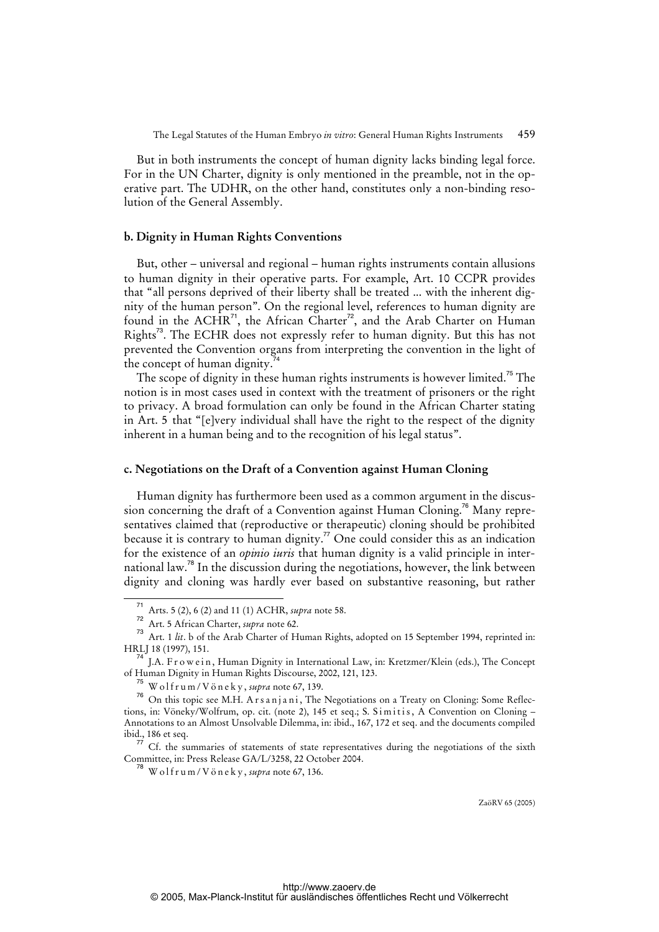But in both instruments the concept of human dignity lacks binding legal force. For in the UN Charter, dignity is only mentioned in the preamble, not in the operative part. The UDHR, on the other hand, constitutes only a non-binding resolution of the General Assembly.

## **b. Dignity in Human Rights Conventions**

But, other – universal and regional – human rights instruments contain allusions to human dignity in their operative parts. For example, Art. 10 CCPR provides that "all persons deprived of their liberty shall be treated ... with the inherent dignity of the human person". On the regional level, references to human dignity are found in the  $ACHR^{71}$ , the African Charter<sup>72</sup>, and the Arab Charter on Human Rights<sup>73</sup>. The ECHR does not expressly refer to human dignity. But this has not prevented the Convention organs from interpreting the convention in the light of the concept of human dignity.

The scope of dignity in these human rights instruments is however limited.<sup>75</sup> The notion is in most cases used in context with the treatment of prisoners or the right to privacy. A broad formulation can only be found in the African Charter stating in Art. 5 that "[e]very individual shall have the right to the respect of the dignity inherent in a human being and to the recognition of his legal status".

## **c. Negotiations on the Draft of a Convention against Human Cloning**

Human dignity has furthermore been used as a common argument in the discussion concerning the draft of a Convention against Human Cloning.<sup>76</sup> Many representatives claimed that (reproductive or therapeutic) cloning should be prohibited because it is contrary to human dignity.<sup>77</sup> One could consider this as an indication for the existence of an *opinio iuris* that human dignity is a valid principle in international law.<sup>78</sup> In the discussion during the negotiations, however, the link between dignity and cloning was hardly ever based on substantive reasoning, but rather

<sup>71</sup> Arts. 5 (2), 6 (2) and 11 (1) ACHR, *supra* note 58.

<sup>72</sup> Art. 5 African Charter, *supra* note 62.

<sup>&</sup>lt;sup>73</sup> Art. 1 *lit*. b of the Arab Charter of Human Rights, adopted on 15 September 1994, reprinted in: HRLJ 18 (1997), 151.

<sup>&</sup>lt;sup>4</sup> J.A. Fr o w e in, Human Dignity in International Law, in: Kretzmer/Klein (eds.), The Concept of Human Dignity in Human Rights Discourse, 2002, 121, 123.

 $^{75}$  W o l f r u m / V ö n e k v, *supra* note 67, 139.

<sup>&</sup>lt;sup>76</sup> On this topic see M.H. Arsanjani, The Negotiations on a Treaty on Cloning: Some Reflections, in: Vöneky/Wolfrum, op. cit. (note 2), 145 et seq.; S. Simitis, A Convention on Cloning – Annotations to an Almost Unsolvable Dilemma, in: ibid., 167, 172 et seq. and the documents compiled ibid., 186 et seq.

 $\sigma$  Cf. the summaries of statements of state representatives during the negotiations of the sixth Committee, in: Press Release GA/L/3258, 22 October 2004.

 $^{78}$  W o l f r u m / V ö n e k y, *supra* note 67, 136.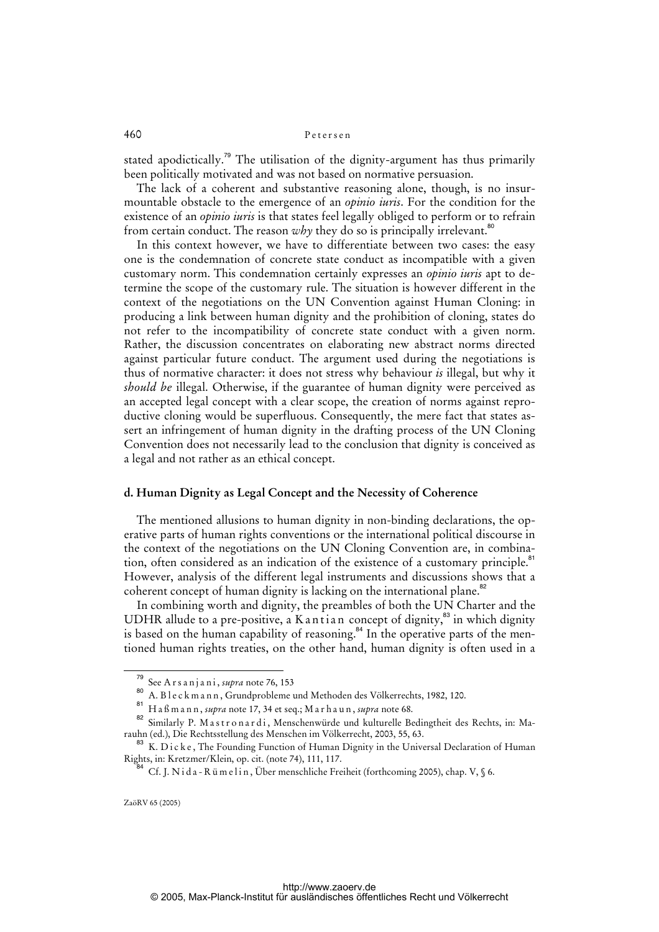stated apodictically.<sup>79</sup> The utilisation of the dignity-argument has thus primarily been politically motivated and was not based on normative persuasion.

The lack of a coherent and substantive reasoning alone, though, is no insurmountable obstacle to the emergence of an *opinio iuris*. For the condition for the existence of an *opinio iuris* is that states feel legally obliged to perform or to refrain from certain conduct. The reason why they do so is principally irrelevant.<sup>80</sup>

In this context however, we have to differentiate between two cases: the easy one is the condemnation of concrete state conduct as incompatible with a given customary norm. This condemnation certainly expresses an *opinio iuris* apt to determine the scope of the customary rule. The situation is however different in the context of the negotiations on the UN Convention against Human Cloning: in producing a link between human dignity and the prohibition of cloning, states do not refer to the incompatibility of concrete state conduct with a given norm. Rather, the discussion concentrates on elaborating new abstract norms directed against particular future conduct. The argument used during the negotiations is thus of normative character: it does not stress why behaviour *is* illegal, but why it *should be* illegal. Otherwise, if the guarantee of human dignity were perceived as an accepted legal concept with a clear scope, the creation of norms against reproductive cloning would be superfluous. Consequently, the mere fact that states assert an infringement of human dignity in the drafting process of the UN Cloning Convention does not necessarily lead to the conclusion that dignity is conceived as a legal and not rather as an ethical concept.

## **d. Human Dignity as Legal Concept and the Necessity of Coherence**

The mentioned allusions to human dignity in non-binding declarations, the operative parts of human rights conventions or the international political discourse in the context of the negotiations on the UN Cloning Convention are, in combination, often considered as an indication of the existence of a customary principle.<sup>81</sup> However, analysis of the different legal instruments and discussions shows that a coherent concept of human dignity is lacking on the international plane.<sup>82</sup>

In combining worth and dignity, the preambles of both the UN Charter and the UDHR allude to a pre-positive, a K antian concept of dignity,  $\frac{83}{3}$  in which dignity is based on the human capability of reasoning.<sup>84</sup> In the operative parts of the mentioned human rights treaties, on the other hand, human dignity is often used in a

<sup>79</sup> See A r s a n j a n i , *supra* note 76, 153

<sup>80</sup> A. B l e c k m a n n , Grundprobleme und Methoden des Völkerrechts, 1982, 120.

<sup>81</sup> H a ß m a n n , *supra* note 17, 34 et seq.; M a r h a u n , *supra* note 68.

<sup>82</sup> Similarly P. Mastronardi, Menschenwürde und kulturelle Bedingtheit des Rechts, in: Marauhn (ed.), Die Rechtsstellung des Menschen im Völkerrecht, 2003, 55, 63.

<sup>&</sup>lt;sup>83</sup> K. D i c k e, The Founding Function of Human Dignity in the Universal Declaration of Human Rights, in: Kretzmer/Klein, op. cit. (note 74), 111, 117.

 $84$  Cf. J. N i d a - R ü m e l i n, Über menschliche Freiheit (forthcoming 2005), chap. V,  $\%$  6.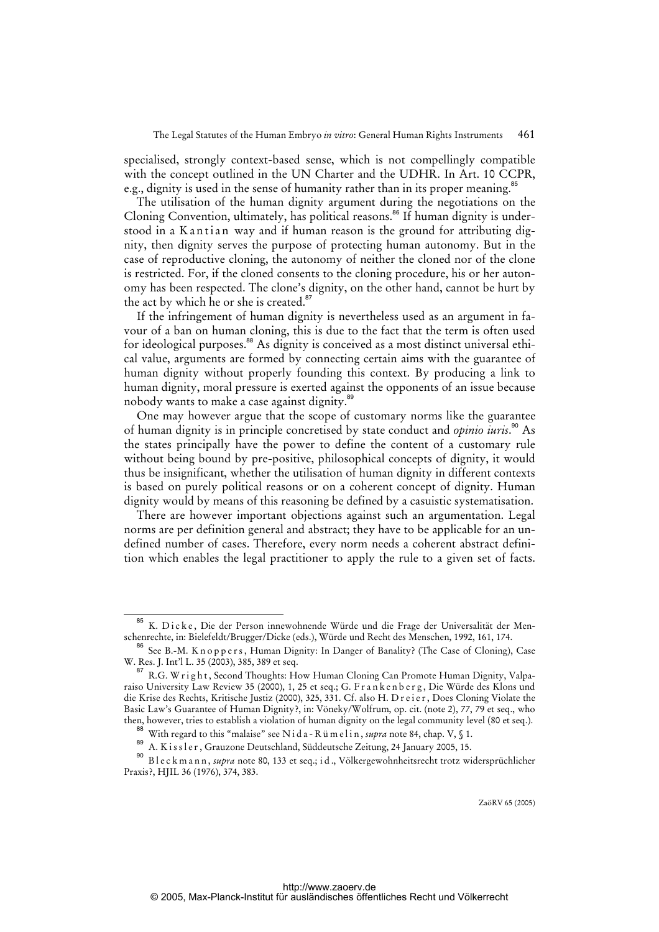specialised, strongly context-based sense, which is not compellingly compatible with the concept outlined in the UN Charter and the UDHR. In Art. 10 CCPR, e.g., dignity is used in the sense of humanity rather than in its proper meaning.<sup>85</sup>

The utilisation of the human dignity argument during the negotiations on the Cloning Convention, ultimately, has political reasons.<sup>86</sup> If human dignity is understood in a K antian way and if human reason is the ground for attributing dignity, then dignity serves the purpose of protecting human autonomy. But in the case of reproductive cloning, the autonomy of neither the cloned nor of the clone is restricted. For, if the cloned consents to the cloning procedure, his or her autonomy has been respected. The clone's dignity, on the other hand, cannot be hurt by the act by which he or she is created.<sup>87</sup>

If the infringement of human dignity is nevertheless used as an argument in favour of a ban on human cloning, this is due to the fact that the term is often used for ideological purposes.<sup>88</sup> As dignity is conceived as a most distinct universal ethical value, arguments are formed by connecting certain aims with the guarantee of human dignity without properly founding this context. By producing a link to human dignity, moral pressure is exerted against the opponents of an issue because nobody wants to make a case against dignity.<sup>89</sup>

One may however argue that the scope of customary norms like the guarantee of human dignity is in principle concretised by state conduct and *opinio iuris*. <sup>90</sup> As the states principally have the power to define the content of a customary rule without being bound by pre-positive, philosophical concepts of dignity, it would thus be insignificant, whether the utilisation of human dignity in different contexts is based on purely political reasons or on a coherent concept of dignity. Human dignity would by means of this reasoning be defined by a casuistic systematisation.

There are however important objections against such an argumentation. Legal norms are per definition general and abstract; they have to be applicable for an undefined number of cases. Therefore, every norm needs a coherent abstract definition which enables the legal practitioner to apply the rule to a given set of facts.

K. Dicke, Die der Person innewohnende Würde und die Frage der Universalität der Menschenrechte, in: Bielefeldt/Brugger/Dicke (eds.), Würde und Recht des Menschen, 1992, 161, 174.

<sup>&</sup>lt;sup>86</sup> See B.-M. Knoppers, Human Dignity: In Danger of Banality? (The Case of Cloning), Case W. Res. J. Int'l L. 35 (2003), 385, 389 et seq.

<sup>&</sup>lt;sup>87</sup> R.G. W right, Second Thoughts: How Human Cloning Can Promote Human Dignity, Valparaiso University Law Review 35 (2000), 1, 25 et seq.; G. F r a n k e n b e r g , Die Würde des Klons und die Krise des Rechts, Kritische Justiz (2000), 325, 331. Cf. also H. D r e i e r, Does Cloning Violate the Basic Law's Guarantee of Human Dignity?, in: Vöneky/Wolfrum, op. cit. (note 2), 77, 79 et seq., who then, however, tries to establish a violation of human dignity on the legal community level (80 et seq.).

<sup>&</sup>lt;sup>88</sup> With regard to this "malaise" see N i d a - R ü m e l i n , *supra* note 84, chap. V, § 1.

<sup>89</sup> A. K is s l e r, Grauzone Deutschland, Süddeutsche Zeitung, 24 January 2005, 15.

<sup>90</sup> B l e c k m a n n , *supra* note 80, 133 et seq.; i d ., Völkergewohnheitsrecht trotz widersprüchlicher Praxis?, HJIL 36 (1976), 374, 383.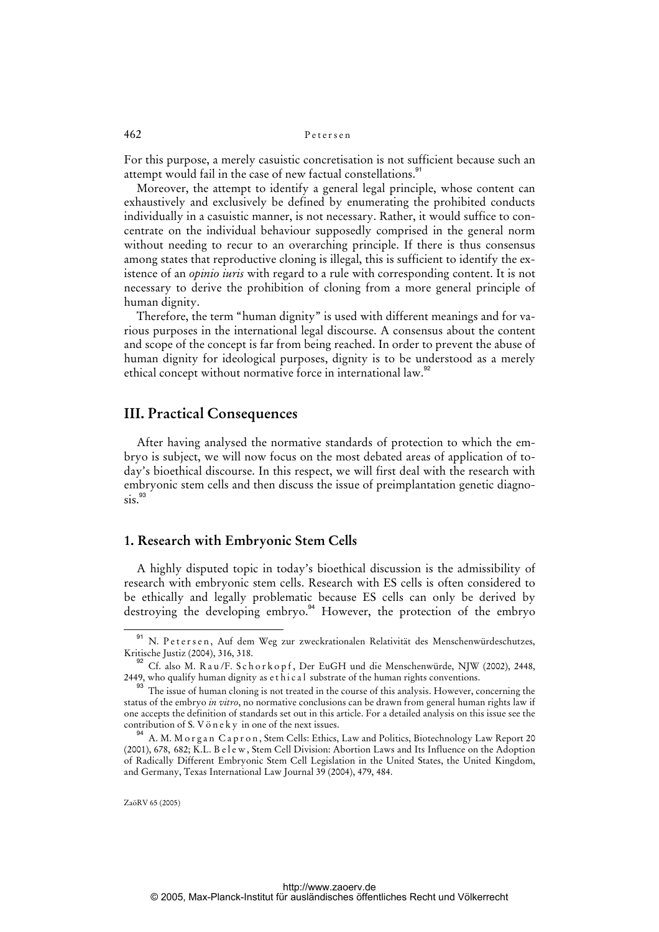For this purpose, a merely casuistic concretisation is not sufficient because such an attempt would fail in the case of new factual constellations.<sup>91</sup>

Moreover, the attempt to identify a general legal principle, whose content can exhaustively and exclusively be defined by enumerating the prohibited conducts individually in a casuistic manner, is not necessary. Rather, it would suffice to concentrate on the individual behaviour supposedly comprised in the general norm without needing to recur to an overarching principle. If there is thus consensus among states that reproductive cloning is illegal, this is sufficient to identify the existence of an *opinio iuris* with regard to a rule with corresponding content. It is not necessary to derive the prohibition of cloning from a more general principle of human dignity.

Therefore, the term "human dignity" is used with different meanings and for various purposes in the international legal discourse. A consensus about the content and scope of the concept is far from being reached. In order to prevent the abuse of human dignity for ideological purposes, dignity is to be understood as a merely ethical concept without normative force in international law.<sup>92</sup>

# **III. Practical Consequences**

After having analysed the normative standards of protection to which the embryo is subject, we will now focus on the most debated areas of application of today's bioethical discourse. In this respect, we will first deal with the research with embryonic stem cells and then discuss the issue of preimplantation genetic diagno- $\sin^{93}$ 

# **1. Research with Embryonic Stem Cells**

A highly disputed topic in today's bioethical discussion is the admissibility of research with embryonic stem cells. Research with ES cells is often considered to be ethically and legally problematic because ES cells can only be derived by destroying the developing embryo.<sup>94</sup> However, the protection of the embryo.

<sup>91</sup> N. Petersen, Auf dem Weg zur zweckrationalen Relativität des Menschenwürdeschutzes, Kritische Justiz (2004), 316, 318.

Cf. also M. R a u /F. S c h o r k o p f , Der EuGH und die Menschenwürde, NJW (2002), 2448, 2449, who qualify human dignity as  $et \hat{h}$  ic al substrate of the human rights conventions.

<sup>&</sup>lt;sup>93</sup> The issue of human cloning is not treated in the course of this analysis. However, concerning the status of the embryo *in vitro*, no normative conclusions can be drawn from general human rights law if one accepts the definition of standards set out in this article. For a detailed analysis on this issue see the contribution of S. V ö n e k y in one of the next issues.

<sup>94</sup> A. M. M o r g a n C a p r o n , Stem Cells: Ethics, Law and Politics, Biotechnology Law Report 20 (2001), 678, 682; K.L. B e l e w, Stem Cell Division: Abortion Laws and Its Influence on the Adoption of Radically Different Embryonic Stem Cell Legislation in the United States, the United Kingdom, and Germany, Texas International Law Journal 39 (2004), 479, 484.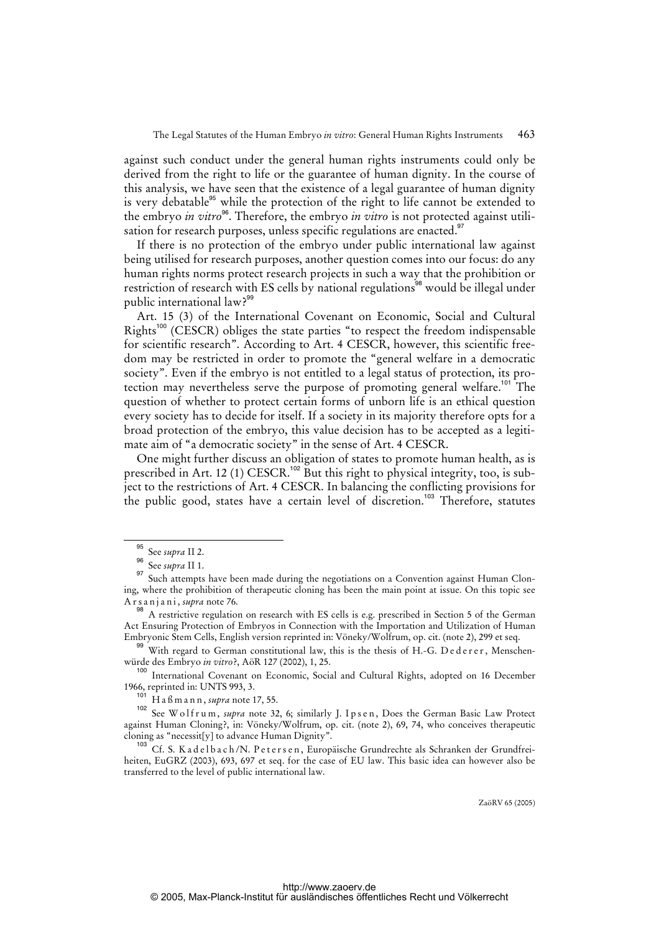against such conduct under the general human rights instruments could only be derived from the right to life or the guarantee of human dignity. In the course of this analysis, we have seen that the existence of a legal guarantee of human dignity is very debatable<sup>95</sup> while the protection of the right to life cannot be extended to the embryo *in vitro*<sup>96</sup>. Therefore, the embryo *in vitro* is not protected against utilisation for research purposes, unless specific regulations are enacted.<sup>97</sup>

If there is no protection of the embryo under public international law against being utilised for research purposes, another question comes into our focus: do any human rights norms protect research projects in such a way that the prohibition or restriction of research with ES cells by national regulations<sup>98</sup> would be illegal under public international law?<sup>99</sup>

Art. 15 (3) of the International Covenant on Economic, Social and Cultural Rights<sup>100</sup> (CESCR) obliges the state parties "to respect the freedom indispensable for scientific research". According to Art. 4 CESCR, however, this scientific freedom may be restricted in order to promote the "general welfare in a democratic society". Even if the embryo is not entitled to a legal status of protection, its protection may nevertheless serve the purpose of promoting general welfare.<sup>101</sup> The question of whether to protect certain forms of unborn life is an ethical question every society has to decide for itself. If a society in its majority therefore opts for a broad protection of the embryo, this value decision has to be accepted as a legitimate aim of "a democratic society" in the sense of Art. 4 CESCR.

One might further discuss an obligation of states to promote human health, as is prescribed in Art. 12 (1) CESCR.<sup>102</sup> But this right to physical integrity, too, is subject to the restrictions of Art. 4 CESCR. In balancing the conflicting provisions for the public good, states have a certain level of discretion.<sup>103</sup> Therefore, statutes

<sup>99</sup> With regard to German constitutional law, this is the thesis of H.-G. Dederer, Menschenwürde des Embryo *in vitro*?, AöR 127 (2002), 1, 25.

<sup>100</sup> International Covenant on Economic, Social and Cultural Rights, adopted on 16 December 1966, reprinted in: UNTS 993, 3.

<sup>101</sup> H a ß m a n n , *supra* note 17, 55.

102 See W olfrum, *supra* note 32, 6; similarly J. I p s e n, Does the German Basic Law Protect against Human Cloning?, in: Vöneky/Wolfrum, op. cit. (note 2), 69, 74, who conceives therapeutic cloning as "necessit[y] to advance Human Dignity".

<sup>103</sup> Cf. S. K a d e l b a c h / N. P e t e r s e n, Europäische Grundrechte als Schranken der Grundfreiheiten, EuGRZ (2003), 693, 697 et seq. for the case of EU law. This basic idea can however also be transferred to the level of public international law.

<sup>95</sup> See *supra* II 2.

<sup>96</sup> See *supra* II 1.

<sup>&</sup>lt;sup>97</sup> Such attempts have been made during the negotiations on a Convention against Human Cloning, where the prohibition of therapeutic cloning has been the main point at issue. On this topic see A r s a n j a n i , *supra* note 76.

 $^{98}$  A restrictive regulation on research with ES cells is e.g. prescribed in Section 5 of the German Act Ensuring Protection of Embryos in Connection with the Importation and Utilization of Human Embryonic Stem Cells, English version reprinted in: Vöneky/Wolfrum, op. cit. (note 2), 299 et seq.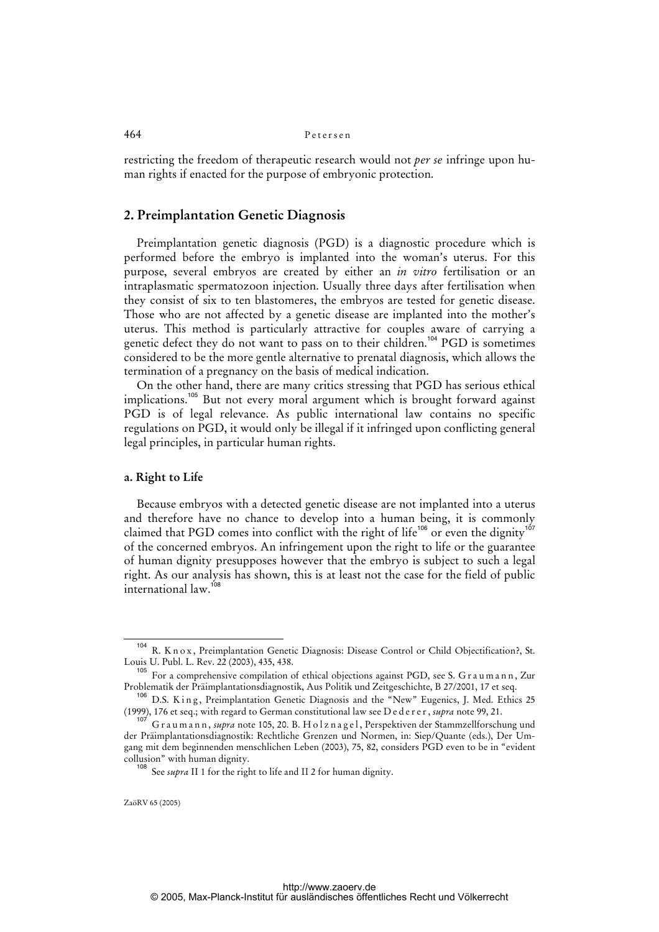restricting the freedom of therapeutic research would not *per se* infringe upon human rights if enacted for the purpose of embryonic protection.

# **2. Preimplantation Genetic Diagnosis**

Preimplantation genetic diagnosis (PGD) is a diagnostic procedure which is performed before the embryo is implanted into the woman's uterus. For this purpose, several embryos are created by either an *in vitro* fertilisation or an intraplasmatic spermatozoon injection. Usually three days after fertilisation when they consist of six to ten blastomeres, the embryos are tested for genetic disease. Those who are not affected by a genetic disease are implanted into the mother's uterus. This method is particularly attractive for couples aware of carrying a genetic defect they do not want to pass on to their children.<sup>104</sup> PGD is sometimes considered to be the more gentle alternative to prenatal diagnosis, which allows the termination of a pregnancy on the basis of medical indication.

On the other hand, there are many critics stressing that PGD has serious ethical implications.<sup>105</sup> But not every moral argument which is brought forward against PGD is of legal relevance. As public international law contains no specific regulations on PGD, it would only be illegal if it infringed upon conflicting general legal principles, in particular human rights.

## **a. Right to Life**

Because embryos with a detected genetic disease are not implanted into a uterus and therefore have no chance to develop into a human being, it is commonly claimed that PGD comes into conflict with the right of life<sup>106</sup> or even the dignity<sup>107</sup> of the concerned embryos. An infringement upon the right to life or the guarantee of human dignity presupposes however that the embryo is subject to such a legal right. As our analysis has shown, this is at least not the case for the field of public international law.<sup>108</sup>

<sup>&</sup>lt;sup>104</sup> R. K n o x, Preimplantation Genetic Diagnosis: Disease Control or Child Objectification?, St. Louis U. Publ. L. Rev. 22 (2003), 435, 438.

 $105$  For a comprehensive compilation of ethical objections against PGD, see S. G r a u m a n n, Zur Problematik der Präimplantationsdiagnostik, Aus Politik und Zeitgeschichte, B 27/2001, 17 et seq.

<sup>&</sup>lt;sup>106</sup> D.S. King, Preimplantation Genetic Diagnosis and the "New" Eugenics, J. Med. Ethics 25 (1999), 176 et seq.; with regard to German constitutional law see D e d e r e r , *supra* note 99, 21.

<sup>107</sup> G r a u m a n n , *supra* note 105, 20. B. H o l z n a g e l , Perspektiven der Stammzellforschung und der Präimplantationsdiagnostik: Rechtliche Grenzen und Normen, in: Siep/Quante (eds.), Der Umgang mit dem beginnenden menschlichen Leben (2003), 75, 82, considers PGD even to be in "evident collusion" with human dignity.

<sup>108</sup> See *supra* II 1 for the right to life and II 2 for human dignity.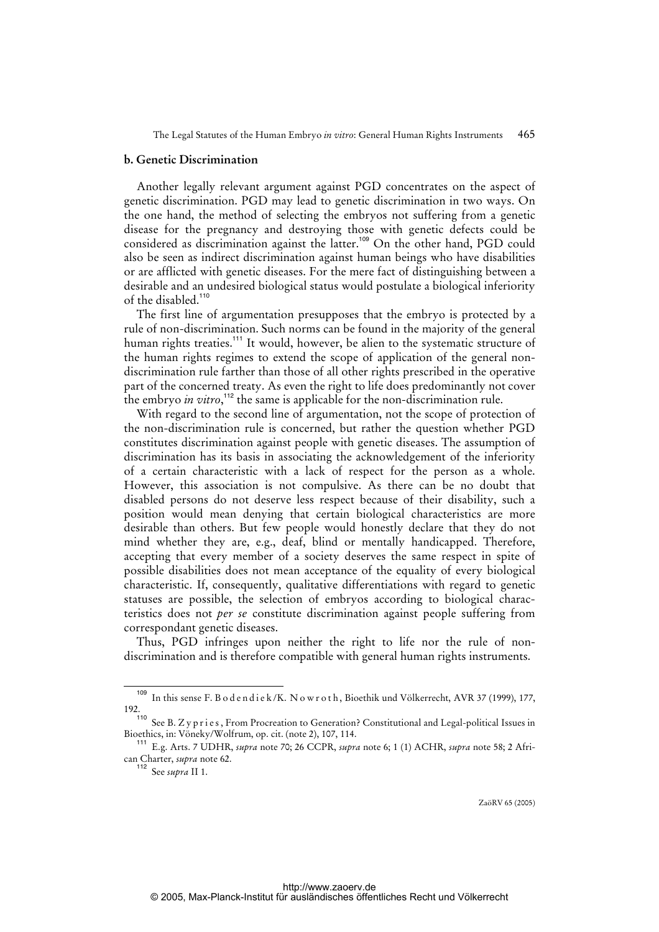## **b. Genetic Discrimination**

Another legally relevant argument against PGD concentrates on the aspect of genetic discrimination. PGD may lead to genetic discrimination in two ways. On the one hand, the method of selecting the embryos not suffering from a genetic disease for the pregnancy and destroying those with genetic defects could be considered as discrimination against the latter.<sup>109</sup> On the other hand, PGD could also be seen as indirect discrimination against human beings who have disabilities or are afflicted with genetic diseases. For the mere fact of distinguishing between a desirable and an undesired biological status would postulate a biological inferiority of the disabled.<sup>110</sup>

The first line of argumentation presupposes that the embryo is protected by a rule of non-discrimination. Such norms can be found in the majority of the general human rights treaties.<sup>111</sup> It would, however, be alien to the systematic structure of the human rights regimes to extend the scope of application of the general nondiscrimination rule farther than those of all other rights prescribed in the operative part of the concerned treaty. As even the right to life does predominantly not cover the embryo *in vitro*,<sup>112</sup> the same is applicable for the non-discrimination rule.

With regard to the second line of argumentation, not the scope of protection of the non-discrimination rule is concerned, but rather the question whether PGD constitutes discrimination against people with genetic diseases. The assumption of discrimination has its basis in associating the acknowledgement of the inferiority of a certain characteristic with a lack of respect for the person as a whole. However, this association is not compulsive. As there can be no doubt that disabled persons do not deserve less respect because of their disability, such a position would mean denying that certain biological characteristics are more desirable than others. But few people would honestly declare that they do not mind whether they are, e.g., deaf, blind or mentally handicapped. Therefore, accepting that every member of a society deserves the same respect in spite of possible disabilities does not mean acceptance of the equality of every biological characteristic. If, consequently, qualitative differentiations with regard to genetic statuses are possible, the selection of embryos according to biological characteristics does not *per se* constitute discrimination against people suffering from correspondant genetic diseases.

Thus, PGD infringes upon neither the right to life nor the rule of nondiscrimination and is therefore compatible with general human rights instruments.

In this sense F. B o d e n d i e k /K. N o w r o t h, Bioethik und Völkerrecht, AVR 37 (1999), 177, 192.

See B. Z y p r i e s, From Procreation to Generation? Constitutional and Legal-political Issues in Bioethics, in: Vöneky/Wolfrum, op. cit. (note 2), 107, 114.

<sup>111</sup> E.g. Arts. 7 UDHR, *supra* note 70; 26 CCPR, *supra* note 6; 1 (1) ACHR, *supra* note 58; 2 African Charter, *supra* note 62.

<sup>112</sup> See *supra* II 1.